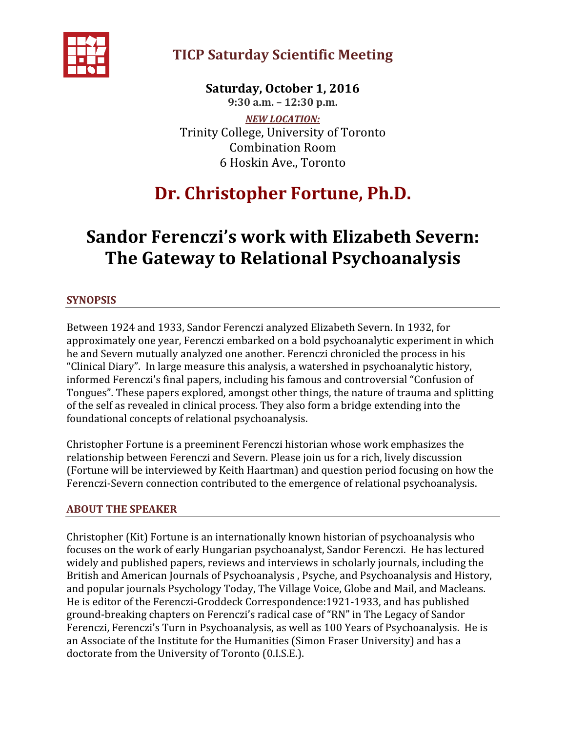

### TICP Saturday Scientific Meeting

Saturday, October 1, 2016 9:30 a.m. – 12:30 p.m. NEW LOCATION: Trinity College, University of Toronto Combination Room 6 Hoskin Ave., Toronto

# Dr. Christopher Fortune, Ph.D.

## Sandor Ferenczi's work with Elizabeth Severn: The Gateway to Relational Psychoanalysis

#### SYNOPSIS

Between 1924 and 1933, Sandor Ferenczi analyzed Elizabeth Severn. In 1932, for approximately one year, Ferenczi embarked on a bold psychoanalytic experiment in which he and Severn mutually analyzed one another. Ferenczi chronicled the process in his "Clinical Diary". In large measure this analysis, a watershed in psychoanalytic history, informed Ferenczi's final papers, including his famous and controversial "Confusion of Tongues". These papers explored, amongst other things, the nature of trauma and splitting of the self as revealed in clinical process. They also form a bridge extending into the foundational concepts of relational psychoanalysis.

Christopher Fortune is a preeminent Ferenczi historian whose work emphasizes the relationship between Ferenczi and Severn. Please join us for a rich, lively discussion (Fortune will be interviewed by Keith Haartman) and question period focusing on how the Ferenczi-Severn connection contributed to the emergence of relational psychoanalysis.

#### ABOUT THE SPEAKER

Christopher (Kit) Fortune is an internationally known historian of psychoanalysis who focuses on the work of early Hungarian psychoanalyst, Sandor Ferenczi. He has lectured widely and published papers, reviews and interviews in scholarly journals, including the British and American Journals of Psychoanalysis , Psyche, and Psychoanalysis and History, and popular journals Psychology Today, The Village Voice, Globe and Mail, and Macleans. He is editor of the Ferenczi-Groddeck Correspondence:1921-1933, and has published ground-breaking chapters on Ferenczi's radical case of "RN" in The Legacy of Sandor Ferenczi, Ferenczi's Turn in Psychoanalysis, as well as 100 Years of Psychoanalysis. He is an Associate of the Institute for the Humanities (Simon Fraser University) and has a doctorate from the University of Toronto (0.I.S.E.).